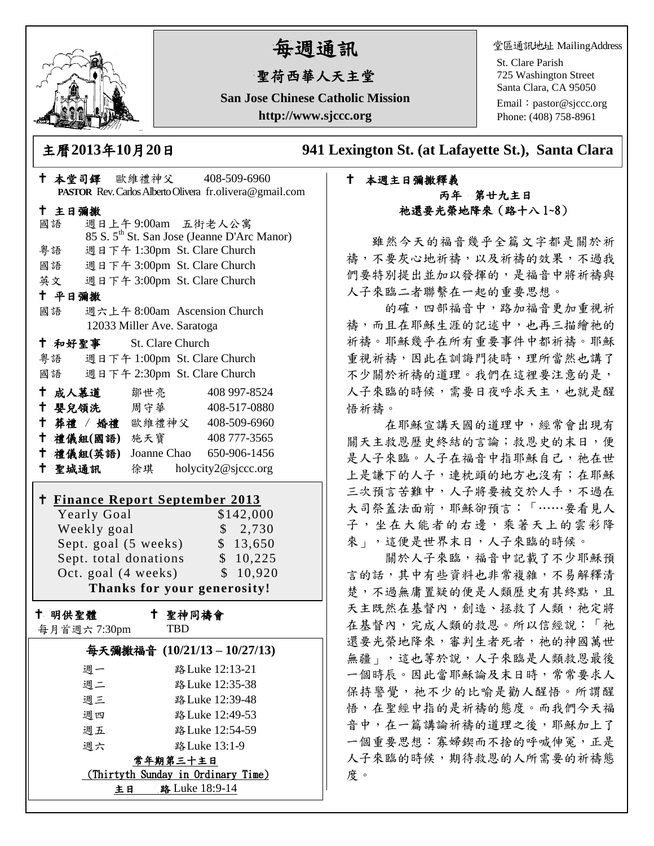

# 每週通訊

## 聖荷西華人天主堂

**San Jose Chinese Catholic Mission http://www.sjccc.org**

堂區通訊地址 MailingAddress

St. Clare Parish 725 Washington Street Santa Clara, CA 95050

Email: [pastor@sjccc.org](mailto:pastor@sjccc.org) Phone: (408) 758-8961

主曆**2013**年**10**月**20**日 **941 Lexington St. (at Lafayette St.), Santa Clara** 

## 本週主日彌撒釋義 丙年 第廿九主日 祂還要光榮地降來(路十八 1~8)

雖然今天的福音幾乎全篇文字都是關於祈 禱,不要灰心地祈禱,以及祈禱的效果,不過我 們要特別提出並加以發揮的,是福音中將祈禱與 人子來臨二者聯繫在一起的重要思想。

的確,四部福音中,路加福音更加重視祈 禱,而且在耶穌生涯的記述中,也再三描繪祂的 祈禱。耶穌幾乎在所有重要事件中都祈禱。耶穌 重視祈禱,因此在訓誨門徒時,理所當然也講了 不少關於祈禱的道理。我們在這裡要注意的是, 人子來臨的時候,需要日夜呼求天主,也就是醒 悟祈禱。

在耶穌宣講天國的道理中,經常會出現有 關天主救恩歷史終結的言論;救恩史的末日,便 是人子來臨。人子在福音中指耶穌自己,祂在世 上是謙下的人子,連枕頭的地方也沒有;在耶穌 三次預言苦難中,人子將要被交於人手,不過在 大司祭蓋法面前,耶穌卻預言:「……要看見人 子,坐在大能者的右邊,乘著天上的雲彩降 來」,這便是世界末日,人子來臨的時候。

關於人子來臨,福音中記載了不少耶穌預 言的話,其中有些資料也非常複雜,不易解釋清 楚,不過無庸置疑的便是人類歷史有其終點,且 天主既然在基督內,創造、拯救了人類,祂定將 在基督內,完成人類的救恩。所以信經說:「祂 還要光榮地降來,審判生者死者,祂的神國萬世 無疆」,這也等於說,人子來臨是人類救恩最後 一個時辰。因此當耶穌論及末日時,常常要求人 保持警覺,祂不少的比喻是勸人醒悟。所謂醒 悟,在聖經中指的是祈禱的態度。而我們今天福 音中,在一篇講論祈禱的道理之後,耶穌加上了 一個重要思想:寡婦鍥而不捨的呼喊伸冤,正是 人子來臨的時候,期待救恩的人所需要的祈禱態 度。

| † 本堂司鐸 歐維禮神父 408-509-6960<br>PASTOR Rev. Carlos Alberto Olivera fr.olivera@gmail.com |  |
|--------------------------------------------------------------------------------------|--|
| 十 主日彌撒<br>週日上午9:00am 五街老人公寓<br>國語                                                    |  |
| 85 S. 5 <sup>th</sup> St. San Jose (Jeanne D'Arc Manor)                              |  |
| 週日下午 1:30pm St. Clare Church<br>粤語                                                   |  |
| 國語 週日下午 3:00pm St. Clare Church                                                      |  |
| 英文 週日下午 3:00pm St. Clare Church                                                      |  |
| 十 平日彌撒                                                                               |  |
| 週六上午 8:00am Ascension Church<br>國語<br>12033 Miller Ave. Saratoga                     |  |
| <b>† 和好聖事 St. Clare Church</b>                                                       |  |
| 粤語 週日下午 1:00pm St. Clare Church                                                      |  |
| 週日下午 2:30pm St. Clare Church<br>國語                                                   |  |
| ← 成人慕道   鄒世亮<br>408 997-8524                                                         |  |
| † 嬰兒領洗 周守華 408-517-0880                                                              |  |
| † 葬禮 / 婚禮 歐維禮神父 408-509-6960                                                         |  |
| † 禮儀組(國語) 施天寶 408777-3565                                                            |  |
| † 禮儀組(英語) Joanne Chao 650-906-1456                                                   |  |
| + 聖城通訊 徐琪 holycity2@sjccc.org                                                        |  |
| <u>† Finance Report September 2013</u>                                               |  |
| Yearly Goal<br>\$142,000                                                             |  |
| Weekly goal<br>\$2,730                                                               |  |
| Sept. goal (5 weeks)<br>\$13,650                                                     |  |
| Sept. total donations<br>\$10,225                                                    |  |
| Oct. goal (4 weeks)<br>\$10,920                                                      |  |
| Thanks for your generosity!                                                          |  |
| 十 聖神同禱會<br>+ 明供聖體<br>每月首週六 7:30pm<br><b>TBD</b>                                      |  |
| 每天彌撒福音 (10/21/13-10/27/13)                                                           |  |
| 调一<br>路 Luke 12:13-21                                                                |  |
| 週二<br>路 Luke 12:35-38                                                                |  |
| 週三<br>路 Luke 12:39-48                                                                |  |
| 路 Luke 12:49-53<br>週四                                                                |  |
| 路 Luke 12:54-59<br>週五                                                                |  |
| 路 Luke 13:1-9<br>週六                                                                  |  |
| 常年期第三十主日                                                                             |  |
| <u>(Thirtyth Sunday in Ordinary Time)</u>                                            |  |

主日 路 Luke 18:9-14